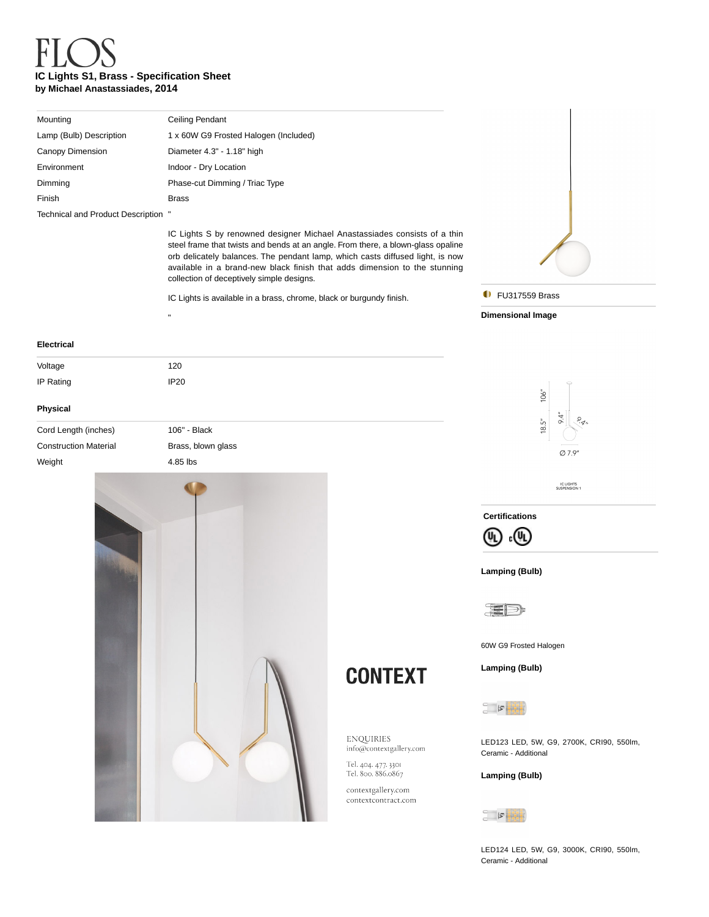# **IC Lights S1, Brass - Specification Sheet by Michael Anastassiades, 2014**

"

| Mounting                            | Ceiling Pendant                       |
|-------------------------------------|---------------------------------------|
| Lamp (Bulb) Description             | 1 x 60W G9 Frosted Halogen (Included) |
| Canopy Dimension                    | Diameter 4.3" - 1.18" high            |
| Environment                         | Indoor - Dry Location                 |
| Dimming                             | Phase-cut Dimming / Triac Type        |
| Finish                              | <b>Brass</b>                          |
| Technical and Product Description " |                                       |

IC Lights S by renowned designer Michael Anastassiades consists of a thin steel frame that twists and bends at an angle. From there, a blown-glass opaline orb delicately balances. The pendant lamp, which casts diffused light, is now available in a brand-new black finish that adds dimension to the stunning collection of deceptively simple designs.

IC Lights is available in a brass, chrome, black or burgundy finish.



**D** FU317559 Brass

**Dimensional Image**

## **Electrical**

| Voltage                      | 120                |  |
|------------------------------|--------------------|--|
| IP Rating                    | <b>IP20</b>        |  |
| Physical                     |                    |  |
|                              |                    |  |
| Cord Length (inches)         | 106" - Black       |  |
| <b>Construction Material</b> | Brass, blown glass |  |
| Weight                       | 4.85 lbs           |  |
|                              |                    |  |





IC LIGHTS<br>SUSPENSION 1

**Certifications**



### **Lamping (Bulb)**



60W G9 Frosted Halogen

**Lamping (Bulb)** 



**CONTEXT** 

ENQUIRIES info@contextgallery.com Tel. 404. 477. 3301<br>Tel. 800. 886.0867  $\text{contextgally}, \text{com}$  $\text{contextcontract.com}$ 

LED123 LED, 5W, G9, 2700K, CRI90, 550lm, Ceramic - Additional

### **Lamping (Bulb)**



LED124 LED, 5W, G9, 3000K, CRI90, 550lm, Ceramic - Additional